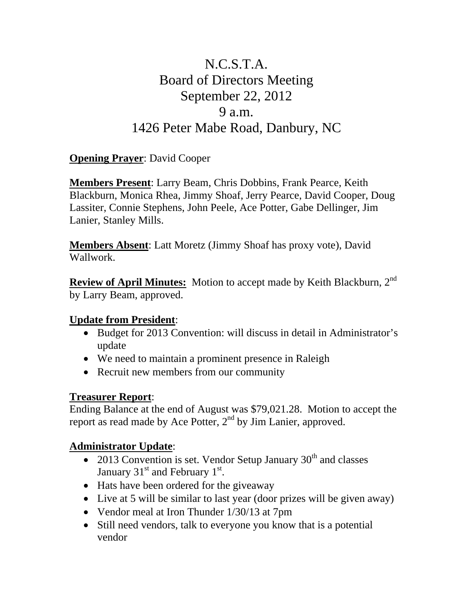# N.C.S.T.A. Board of Directors Meeting September 22, 2012 9 a.m. 1426 Peter Mabe Road, Danbury, NC

## **Opening Prayer**: David Cooper

**Members Present**: Larry Beam, Chris Dobbins, Frank Pearce, Keith Blackburn, Monica Rhea, Jimmy Shoaf, Jerry Pearce, David Cooper, Doug Lassiter, Connie Stephens, John Peele, Ace Potter, Gabe Dellinger, Jim Lanier, Stanley Mills.

**Members Absent**: Latt Moretz (Jimmy Shoaf has proxy vote), David Wallwork.

**Review of April Minutes:** Motion to accept made by Keith Blackburn, 2<sup>nd</sup> by Larry Beam, approved.

#### **Update from President**:

- Budget for 2013 Convention: will discuss in detail in Administrator's update
- We need to maintain a prominent presence in Raleigh
- Recruit new members from our community

#### **Treasurer Report**:

Ending Balance at the end of August was \$79,021.28. Motion to accept the report as read made by Ace Potter, 2<sup>nd</sup> by Jim Lanier, approved.

## **Administrator Update**:

- 2013 Convention is set. Vendor Setup January  $30<sup>th</sup>$  and classes January 31 $^{\text{st}}$  and February 1 $^{\text{st}}$ .
- Hats have been ordered for the giveaway
- Live at 5 will be similar to last year (door prizes will be given away)
- Vendor meal at Iron Thunder 1/30/13 at 7pm
- Still need vendors, talk to everyone you know that is a potential vendor